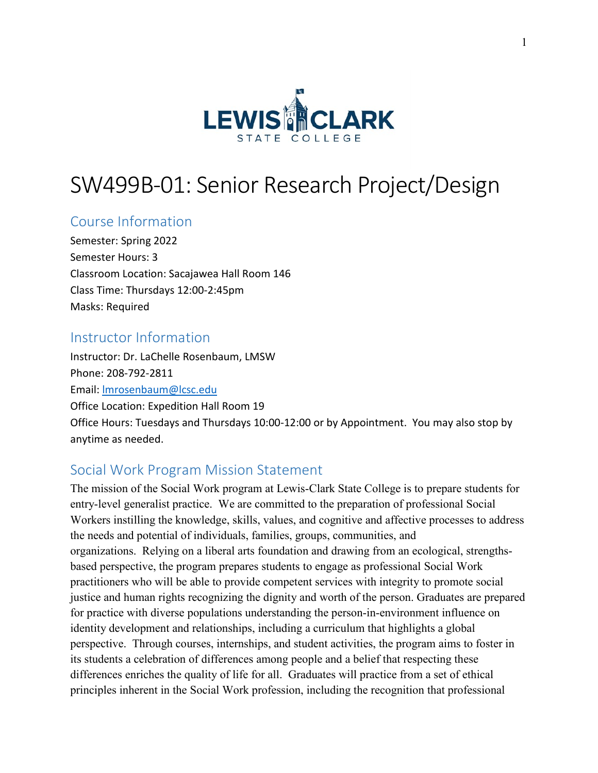

# SW499B-01: Senior Research Project/Design

## Course Information

Semester: Spring 2022 Semester Hours: 3 Classroom Location: Sacajawea Hall Room 146 Class Time: Thursdays 12:00-2:45pm Masks: Required

### Instructor Information

Instructor: Dr. LaChelle Rosenbaum, LMSW Phone: 208-792-2811 Email: [lmrosenbaum@lcsc.edu](mailto:lmrosenbaum@lcsc.edu) Office Location: Expedition Hall Room 19 Office Hours: Tuesdays and Thursdays 10:00-12:00 or by Appointment. You may also stop by anytime as needed.

## Social Work Program Mission Statement

The mission of the Social Work program at Lewis-Clark State College is to prepare students for entry-level generalist practice. We are committed to the preparation of professional Social Workers instilling the knowledge, skills, values, and cognitive and affective processes to address the needs and potential of individuals, families, groups, communities, and organizations. Relying on a liberal arts foundation and drawing from an ecological, strengthsbased perspective, the program prepares students to engage as professional Social Work practitioners who will be able to provide competent services with integrity to promote social justice and human rights recognizing the dignity and worth of the person. Graduates are prepared for practice with diverse populations understanding the person-in-environment influence on identity development and relationships, including a curriculum that highlights a global perspective. Through courses, internships, and student activities, the program aims to foster in its students a celebration of differences among people and a belief that respecting these differences enriches the quality of life for all. Graduates will practice from a set of ethical principles inherent in the Social Work profession, including the recognition that professional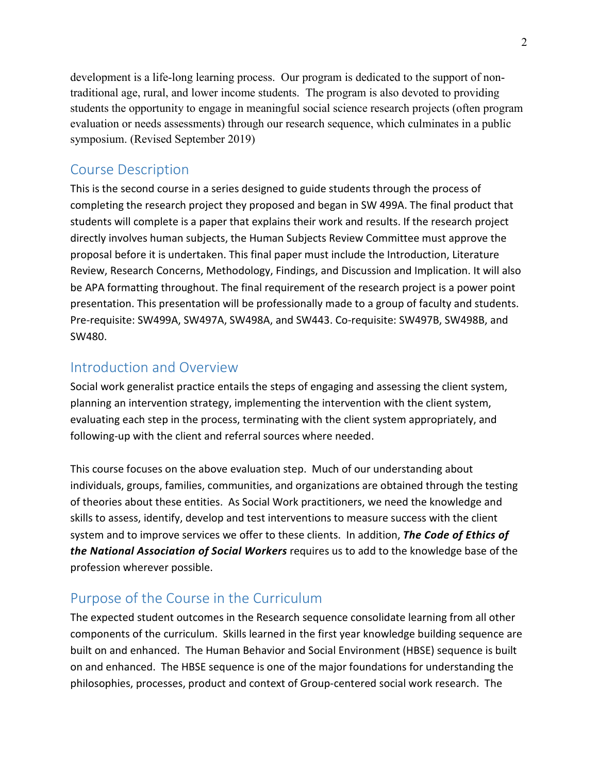development is a life-long learning process. Our program is dedicated to the support of nontraditional age, rural, and lower income students. The program is also devoted to providing students the opportunity to engage in meaningful social science research projects (often program evaluation or needs assessments) through our research sequence, which culminates in a public symposium. (Revised September 2019)

## Course Description

This is the second course in a series designed to guide students through the process of completing the research project they proposed and began in SW 499A. The final product that students will complete is a paper that explains their work and results. If the research project directly involves human subjects, the Human Subjects Review Committee must approve the proposal before it is undertaken. This final paper must include the Introduction, Literature Review, Research Concerns, Methodology, Findings, and Discussion and Implication. It will also be APA formatting throughout. The final requirement of the research project is a power point presentation. This presentation will be professionally made to a group of faculty and students. Pre-requisite: SW499A, SW497A, SW498A, and SW443. Co-requisite: SW497B, SW498B, and SW480.

## Introduction and Overview

Social work generalist practice entails the steps of engaging and assessing the client system, planning an intervention strategy, implementing the intervention with the client system, evaluating each step in the process, terminating with the client system appropriately, and following-up with the client and referral sources where needed.

This course focuses on the above evaluation step. Much of our understanding about individuals, groups, families, communities, and organizations are obtained through the testing of theories about these entities. As Social Work practitioners, we need the knowledge and skills to assess, identify, develop and test interventions to measure success with the client system and to improve services we offer to these clients. In addition, *The Code of Ethics of the National Association of Social Workers* requires us to add to the knowledge base of the profession wherever possible.

## Purpose of the Course in the Curriculum

The expected student outcomes in the Research sequence consolidate learning from all other components of the curriculum. Skills learned in the first year knowledge building sequence are built on and enhanced. The Human Behavior and Social Environment (HBSE) sequence is built on and enhanced. The HBSE sequence is one of the major foundations for understanding the philosophies, processes, product and context of Group-centered social work research. The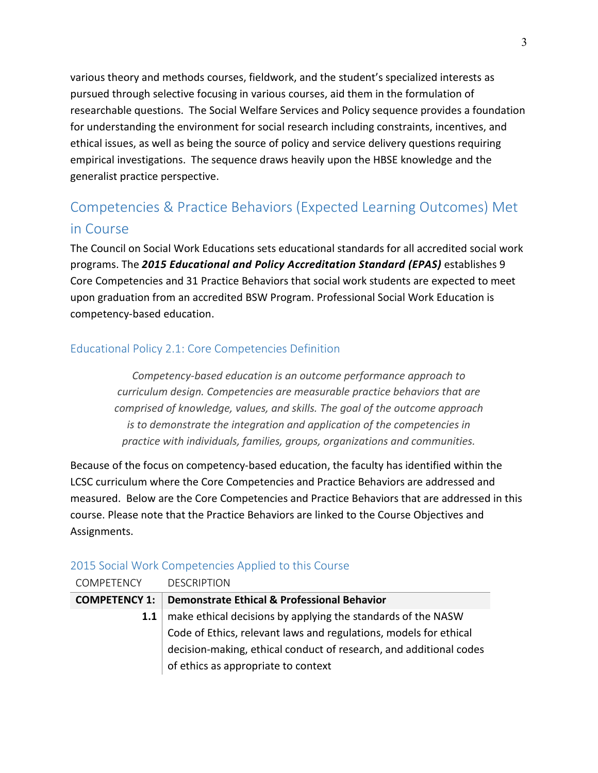various theory and methods courses, fieldwork, and the student's specialized interests as pursued through selective focusing in various courses, aid them in the formulation of researchable questions. The Social Welfare Services and Policy sequence provides a foundation for understanding the environment for social research including constraints, incentives, and ethical issues, as well as being the source of policy and service delivery questions requiring empirical investigations. The sequence draws heavily upon the HBSE knowledge and the generalist practice perspective.

## Competencies & Practice Behaviors (Expected Learning Outcomes) Met in Course

The Council on Social Work Educations sets educational standards for all accredited social work programs. The *2015 Educational and Policy Accreditation Standard (EPAS)* establishes 9 Core Competencies and 31 Practice Behaviors that social work students are expected to meet upon graduation from an accredited BSW Program. Professional Social Work Education is competency-based education.

#### Educational Policy 2.1: Core Competencies Definition

*Competency-based education is an outcome performance approach to curriculum design. Competencies are measurable practice behaviors that are comprised of knowledge, values, and skills. The goal of the outcome approach is to demonstrate the integration and application of the competencies in practice with individuals, families, groups, organizations and communities.*

Because of the focus on competency-based education, the faculty has identified within the LCSC curriculum where the Core Competencies and Practice Behaviors are addressed and measured. Below are the Core Competencies and Practice Behaviors that are addressed in this course. Please note that the Practice Behaviors are linked to the Course Objectives and Assignments.

| <b>COMPETENCY</b>    | <b>DESCRIPTION</b>                                                 |
|----------------------|--------------------------------------------------------------------|
| <b>COMPETENCY 1:</b> | <b>Demonstrate Ethical &amp; Professional Behavior</b>             |
| 1.1                  | make ethical decisions by applying the standards of the NASW       |
|                      | Code of Ethics, relevant laws and regulations, models for ethical  |
|                      | decision-making, ethical conduct of research, and additional codes |
|                      | of ethics as appropriate to context                                |
|                      |                                                                    |

#### 2015 Social Work Competencies Applied to this Course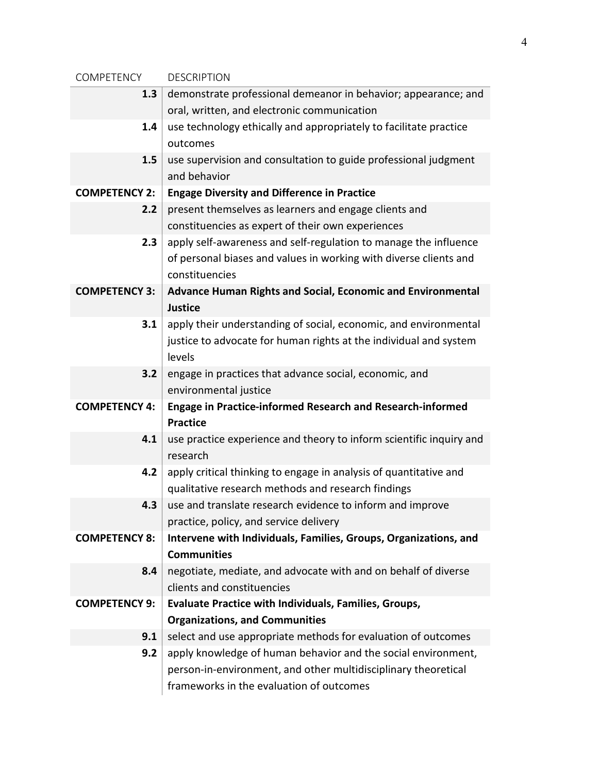| <b>COMPETENCY</b>    | <b>DESCRIPTION</b>                                                                                         |  |  |  |
|----------------------|------------------------------------------------------------------------------------------------------------|--|--|--|
| 1.3                  | demonstrate professional demeanor in behavior; appearance; and                                             |  |  |  |
|                      | oral, written, and electronic communication                                                                |  |  |  |
| 1.4                  | use technology ethically and appropriately to facilitate practice                                          |  |  |  |
|                      | outcomes                                                                                                   |  |  |  |
| 1.5                  | use supervision and consultation to guide professional judgment                                            |  |  |  |
|                      | and behavior                                                                                               |  |  |  |
| <b>COMPETENCY 2:</b> | <b>Engage Diversity and Difference in Practice</b>                                                         |  |  |  |
| 2.2                  | present themselves as learners and engage clients and                                                      |  |  |  |
|                      | constituencies as expert of their own experiences                                                          |  |  |  |
| 2.3                  | apply self-awareness and self-regulation to manage the influence                                           |  |  |  |
|                      | of personal biases and values in working with diverse clients and                                          |  |  |  |
|                      | constituencies                                                                                             |  |  |  |
| <b>COMPETENCY 3:</b> | Advance Human Rights and Social, Economic and Environmental                                                |  |  |  |
|                      | <b>Justice</b>                                                                                             |  |  |  |
| 3.1                  | apply their understanding of social, economic, and environmental                                           |  |  |  |
|                      | justice to advocate for human rights at the individual and system                                          |  |  |  |
|                      | levels                                                                                                     |  |  |  |
| 3.2                  | engage in practices that advance social, economic, and                                                     |  |  |  |
|                      | environmental justice                                                                                      |  |  |  |
| <b>COMPETENCY 4:</b> | <b>Engage in Practice-informed Research and Research-informed</b>                                          |  |  |  |
|                      | <b>Practice</b>                                                                                            |  |  |  |
| 4.1                  | use practice experience and theory to inform scientific inquiry and                                        |  |  |  |
|                      | research                                                                                                   |  |  |  |
| 4.2                  | apply critical thinking to engage in analysis of quantitative and                                          |  |  |  |
| 4.3                  | qualitative research methods and research findings                                                         |  |  |  |
|                      | use and translate research evidence to inform and improve                                                  |  |  |  |
| <b>COMPETENCY 8:</b> | practice, policy, and service delivery<br>Intervene with Individuals, Families, Groups, Organizations, and |  |  |  |
|                      | <b>Communities</b>                                                                                         |  |  |  |
| 8.4                  | negotiate, mediate, and advocate with and on behalf of diverse                                             |  |  |  |
|                      | clients and constituencies                                                                                 |  |  |  |
| <b>COMPETENCY 9:</b> | <b>Evaluate Practice with Individuals, Families, Groups,</b>                                               |  |  |  |
|                      | <b>Organizations, and Communities</b>                                                                      |  |  |  |
| 9.1                  | select and use appropriate methods for evaluation of outcomes                                              |  |  |  |
| 9.2                  | apply knowledge of human behavior and the social environment,                                              |  |  |  |
|                      | person-in-environment, and other multidisciplinary theoretical                                             |  |  |  |
|                      | frameworks in the evaluation of outcomes                                                                   |  |  |  |
|                      |                                                                                                            |  |  |  |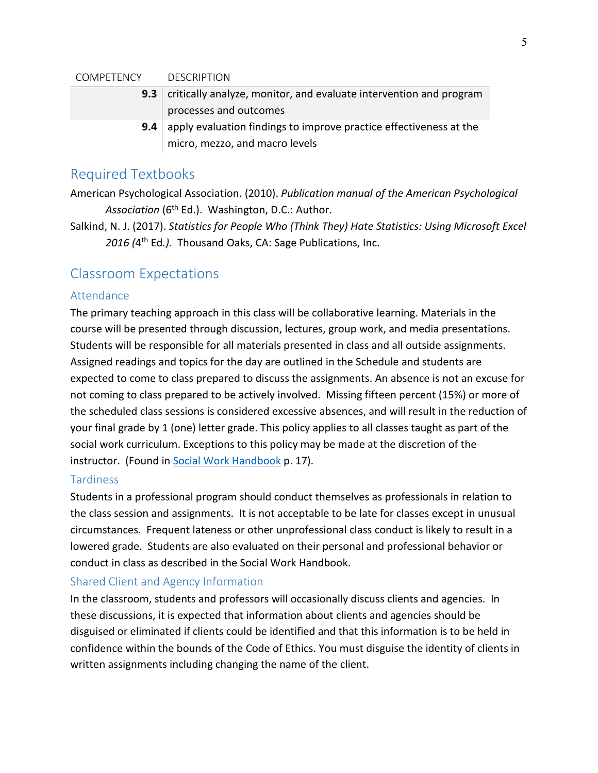#### COMPETENCY DESCRIPTION

- **9.3** critically analyze, monitor, and evaluate intervention and program processes and outcomes
- **9.4** apply evaluation findings to improve practice effectiveness at the micro, mezzo, and macro levels

### Required Textbooks

American Psychological Association. (2010). *Publication manual of the American Psychological*  Association (6<sup>th</sup> Ed.). Washington, D.C.: Author.

Salkind, N. J. (2017). *Statistics for People Who (Think They) Hate Statistics: Using Microsoft Excel*  2016 (4<sup>th</sup> Ed.). Thousand Oaks, CA: Sage Publications, Inc.

## Classroom Expectations

#### Attendance

The primary teaching approach in this class will be collaborative learning. Materials in the course will be presented through discussion, lectures, group work, and media presentations. Students will be responsible for all materials presented in class and all outside assignments. Assigned readings and topics for the day are outlined in the Schedule and students are expected to come to class prepared to discuss the assignments. An absence is not an excuse for not coming to class prepared to be actively involved. Missing fifteen percent (15%) or more of the scheduled class sessions is considered excessive absences, and will result in the reduction of your final grade by 1 (one) letter grade. This policy applies to all classes taught as part of the social work curriculum. Exceptions to this policy may be made at the discretion of the instructor. (Found in [Social Work Handbook](http://www.lcsc.edu/media/5056910/SOCIAL-WORK-STUDENT-HANDBOOK-6-5-2017.pdf) p. 17).

#### **Tardiness**

Students in a professional program should conduct themselves as professionals in relation to the class session and assignments. It is not acceptable to be late for classes except in unusual circumstances. Frequent lateness or other unprofessional class conduct is likely to result in a lowered grade. Students are also evaluated on their personal and professional behavior or conduct in class as described in the Social Work Handbook.

#### Shared Client and Agency Information

In the classroom, students and professors will occasionally discuss clients and agencies. In these discussions, it is expected that information about clients and agencies should be disguised or eliminated if clients could be identified and that this information is to be held in confidence within the bounds of the Code of Ethics. You must disguise the identity of clients in written assignments including changing the name of the client.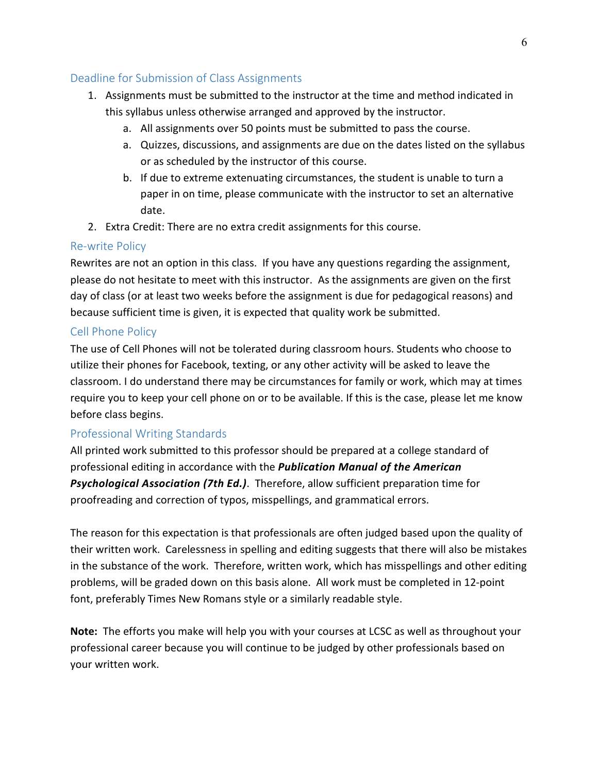#### Deadline for Submission of Class Assignments

- 1. Assignments must be submitted to the instructor at the time and method indicated in this syllabus unless otherwise arranged and approved by the instructor.
	- a. All assignments over 50 points must be submitted to pass the course.
	- a. Quizzes, discussions, and assignments are due on the dates listed on the syllabus or as scheduled by the instructor of this course.
	- b. If due to extreme extenuating circumstances, the student is unable to turn a paper in on time, please communicate with the instructor to set an alternative date.
- 2. Extra Credit: There are no extra credit assignments for this course.

#### Re-write Policy

Rewrites are not an option in this class. If you have any questions regarding the assignment, please do not hesitate to meet with this instructor. As the assignments are given on the first day of class (or at least two weeks before the assignment is due for pedagogical reasons) and because sufficient time is given, it is expected that quality work be submitted.

### Cell Phone Policy

The use of Cell Phones will not be tolerated during classroom hours. Students who choose to utilize their phones for Facebook, texting, or any other activity will be asked to leave the classroom. I do understand there may be circumstances for family or work, which may at times require you to keep your cell phone on or to be available. If this is the case, please let me know before class begins.

### Professional Writing Standards

All printed work submitted to this professor should be prepared at a college standard of professional editing in accordance with the *Publication Manual of the American Psychological Association (7th Ed.)*. Therefore, allow sufficient preparation time for proofreading and correction of typos, misspellings, and grammatical errors.

The reason for this expectation is that professionals are often judged based upon the quality of their written work. Carelessness in spelling and editing suggests that there will also be mistakes in the substance of the work. Therefore, written work, which has misspellings and other editing problems, will be graded down on this basis alone. All work must be completed in 12-point font, preferably Times New Romans style or a similarly readable style.

**Note:** The efforts you make will help you with your courses at LCSC as well as throughout your professional career because you will continue to be judged by other professionals based on your written work.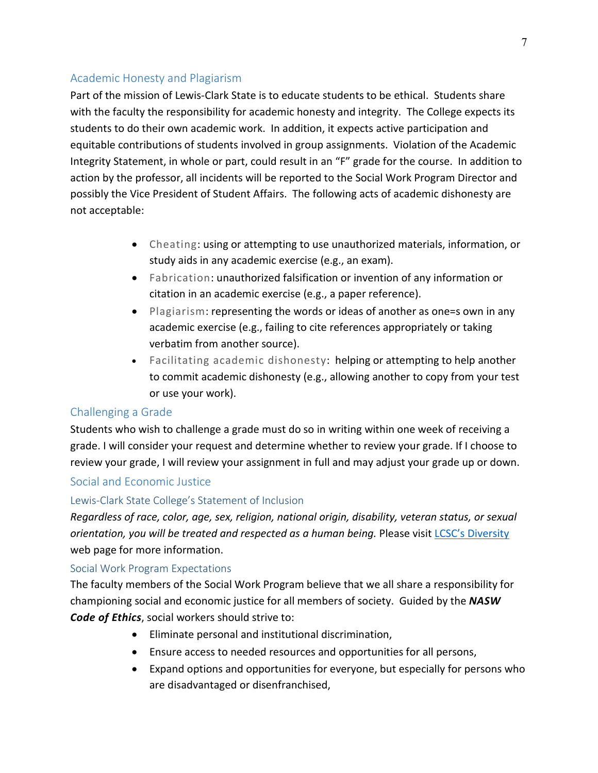#### Academic Honesty and Plagiarism

Part of the mission of Lewis-Clark State is to educate students to be ethical. Students share with the faculty the responsibility for academic honesty and integrity. The College expects its students to do their own academic work. In addition, it expects active participation and equitable contributions of students involved in group assignments. Violation of the Academic Integrity Statement, in whole or part, could result in an "F" grade for the course. In addition to action by the professor, all incidents will be reported to the Social Work Program Director and possibly the Vice President of Student Affairs. The following acts of academic dishonesty are not acceptable:

- Cheating: using or attempting to use unauthorized materials, information, or study aids in any academic exercise (e.g., an exam).
- Fabrication: unauthorized falsification or invention of any information or citation in an academic exercise (e.g., a paper reference).
- Plagiarism: representing the words or ideas of another as one=s own in any academic exercise (e.g., failing to cite references appropriately or taking verbatim from another source).
- Facilitating academic dishonesty: helping or attempting to help another to commit academic dishonesty (e.g., allowing another to copy from your test or use your work).

#### Challenging a Grade

Students who wish to challenge a grade must do so in writing within one week of receiving a grade. I will consider your request and determine whether to review your grade. If I choose to review your grade, I will review your assignment in full and may adjust your grade up or down.

#### Social and Economic Justice

#### Lewis-Clark State College's Statement of Inclusion

*Regardless of race, color, age, sex, religion, national origin, disability, veteran status, or sexual orientation, you will be treated and respected as a human being.* Please visit [LCSC's Diversity](http://www.lcsc.edu/diversity/) web page for more information.

#### Social Work Program Expectations

The faculty members of the Social Work Program believe that we all share a responsibility for championing social and economic justice for all members of society. Guided by the *NASW Code of Ethics*, social workers should strive to:

- Eliminate personal and institutional discrimination,
- Ensure access to needed resources and opportunities for all persons,
- Expand options and opportunities for everyone, but especially for persons who are disadvantaged or disenfranchised,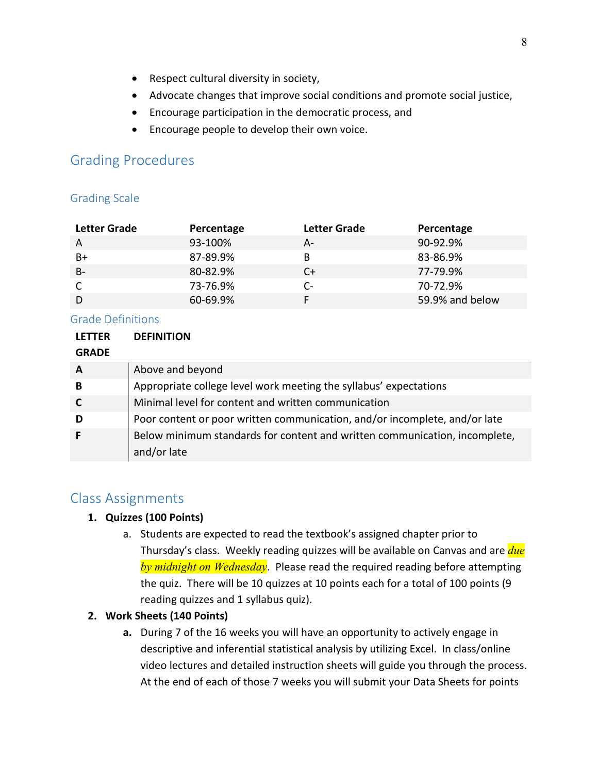- Respect cultural diversity in society,
- Advocate changes that improve social conditions and promote social justice,
- Encourage participation in the democratic process, and
- Encourage people to develop their own voice.

## Grading Procedures

#### Grading Scale

| <b>Letter Grade</b> | Percentage | Letter Grade | Percentage      |
|---------------------|------------|--------------|-----------------|
| A                   | 93-100%    | А-           | 90-92.9%        |
| B+                  | 87-89.9%   | B            | 83-86.9%        |
| $B -$               | 80-82.9%   | C+           | 77-79.9%        |
|                     | 73-76.9%   | C-           | 70-72.9%        |
| D                   | 60-69.9%   |              | 59.9% and below |

#### Grade Definitions

| <b>LETTER</b> | <b>DEFINITION</b>                                                          |
|---------------|----------------------------------------------------------------------------|
| <b>GRADE</b>  |                                                                            |
| A             | Above and beyond                                                           |
| В             | Appropriate college level work meeting the syllabus' expectations          |
|               | Minimal level for content and written communication                        |
| D             | Poor content or poor written communication, and/or incomplete, and/or late |
|               | Below minimum standards for content and written communication, incomplete, |
|               | and/or late                                                                |

## Class Assignments

#### **1. Quizzes (100 Points)**

a. Students are expected to read the textbook's assigned chapter prior to Thursday's class. Weekly reading quizzes will be available on Canvas and are *due by midnight on Wednesday*. Please read the required reading before attempting the quiz. There will be 10 quizzes at 10 points each for a total of 100 points (9 reading quizzes and 1 syllabus quiz).

#### **2. Work Sheets (140 Points)**

**a.** During 7 of the 16 weeks you will have an opportunity to actively engage in descriptive and inferential statistical analysis by utilizing Excel. In class/online video lectures and detailed instruction sheets will guide you through the process. At the end of each of those 7 weeks you will submit your Data Sheets for points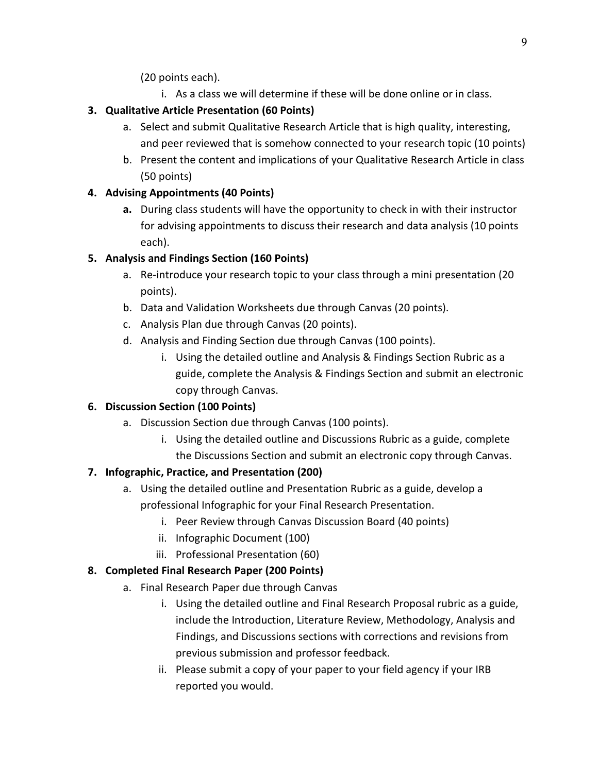(20 points each).

i. As a class we will determine if these will be done online or in class.

## **3. Qualitative Article Presentation (60 Points)**

- a. Select and submit Qualitative Research Article that is high quality, interesting, and peer reviewed that is somehow connected to your research topic (10 points)
- b. Present the content and implications of your Qualitative Research Article in class (50 points)

### **4. Advising Appointments (40 Points)**

**a.** During class students will have the opportunity to check in with their instructor for advising appointments to discuss their research and data analysis (10 points each).

## **5. Analysis and Findings Section (160 Points)**

- a. Re-introduce your research topic to your class through a mini presentation (20 points).
- b. Data and Validation Worksheets due through Canvas (20 points).
- c. Analysis Plan due through Canvas (20 points).
- d. Analysis and Finding Section due through Canvas (100 points).
	- i. Using the detailed outline and Analysis & Findings Section Rubric as a guide, complete the Analysis & Findings Section and submit an electronic copy through Canvas.

## **6. Discussion Section (100 Points)**

- a. Discussion Section due through Canvas (100 points).
	- i. Using the detailed outline and Discussions Rubric as a guide, complete the Discussions Section and submit an electronic copy through Canvas.

## **7. Infographic, Practice, and Presentation (200)**

- a. Using the detailed outline and Presentation Rubric as a guide, develop a professional Infographic for your Final Research Presentation.
	- i. Peer Review through Canvas Discussion Board (40 points)
	- ii. Infographic Document (100)
	- iii. Professional Presentation (60)

## **8. Completed Final Research Paper (200 Points)**

- a. Final Research Paper due through Canvas
	- i. Using the detailed outline and Final Research Proposal rubric as a guide, include the Introduction, Literature Review, Methodology, Analysis and Findings, and Discussions sections with corrections and revisions from previous submission and professor feedback.
	- ii. Please submit a copy of your paper to your field agency if your IRB reported you would.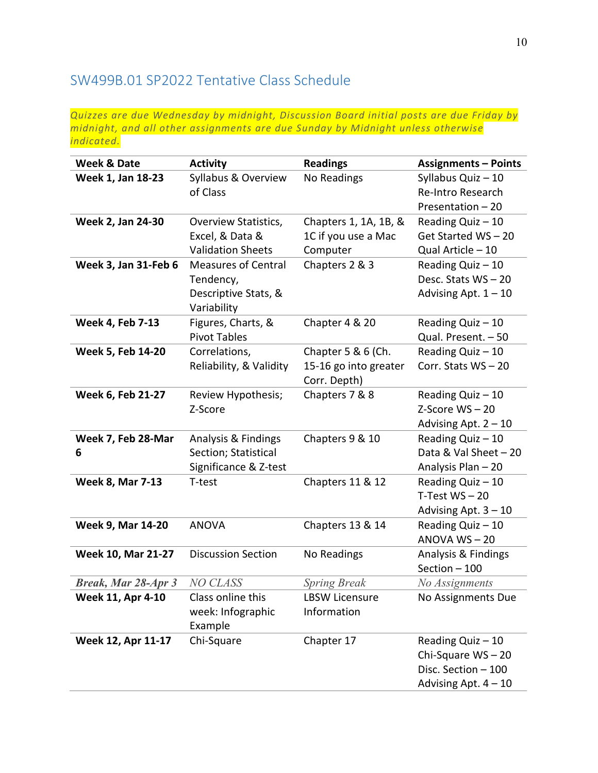## SW499B.01 SP2022 Tentative Class Schedule

*Quizzes are due Wednesday by midnight, Discussion Board initial posts are due Friday by midnight, and all other assignments are due Sunday by Midnight unless otherwise indicated.*

| <b>Week &amp; Date</b>     | <b>Activity</b>                     | <b>Readings</b>       | <b>Assignments - Points</b> |
|----------------------------|-------------------------------------|-----------------------|-----------------------------|
| Week 1, Jan 18-23          | Syllabus & Overview                 | No Readings           | Syllabus Quiz - 10          |
|                            | of Class                            |                       | <b>Re-Intro Research</b>    |
|                            |                                     |                       | Presentation - 20           |
| Week 2, Jan 24-30          | <b>Overview Statistics,</b>         | Chapters 1, 1A, 1B, & | Reading Quiz - 10           |
|                            | Excel, & Data &                     | 1C if you use a Mac   | Get Started WS-20           |
|                            | <b>Validation Sheets</b>            | Computer              | Qual Article - 10           |
| Week 3, Jan 31-Feb 6       | <b>Measures of Central</b>          | Chapters 2 & 3        | Reading Quiz $-10$          |
|                            | Tendency,                           |                       | Desc. Stats WS-20           |
|                            | Descriptive Stats, &<br>Variability |                       | Advising Apt. $1 - 10$      |
| <b>Week 4, Feb 7-13</b>    | Figures, Charts, &                  | Chapter 4 & 20        | Reading Quiz $-10$          |
|                            | <b>Pivot Tables</b>                 |                       | Qual. Present. - 50         |
| Week 5, Feb 14-20          | Correlations,                       | Chapter 5 & 6 (Ch.    | Reading Quiz - 10           |
|                            | Reliability, & Validity             | 15-16 go into greater | Corr. Stats WS-20           |
|                            |                                     | Corr. Depth)          |                             |
| Week 6, Feb 21-27          | Review Hypothesis;                  | Chapters 7 & 8        | Reading Quiz - 10           |
|                            | Z-Score                             |                       | $Z-Score WS-20$             |
|                            |                                     |                       | Advising Apt. $2 - 10$      |
| Week 7, Feb 28-Mar         | Analysis & Findings                 | Chapters 9 & 10       | Reading Quiz - 10           |
| 6                          | Section; Statistical                |                       | Data & Val Sheet - 20       |
|                            | Significance & Z-test               |                       | Analysis Plan - 20          |
| <b>Week 8, Mar 7-13</b>    | T-test                              | Chapters 11 & 12      | Reading Quiz - 10           |
|                            |                                     |                       | $T-Test WS - 20$            |
|                            |                                     |                       | Advising Apt. $3 - 10$      |
| <b>Week 9, Mar 14-20</b>   | <b>ANOVA</b>                        | Chapters 13 & 14      | Reading Quiz - 10           |
|                            |                                     |                       | $ANOVA WS - 20$             |
| Week 10, Mar 21-27         | <b>Discussion Section</b>           | No Readings           | Analysis & Findings         |
|                            |                                     |                       | Section - 100               |
| <b>Break, Mar 28-Apr 3</b> | <b>NO CLASS</b>                     | <b>Spring Break</b>   | No Assignments              |
| Week 11, Apr 4-10          | Class online this                   | <b>LBSW Licensure</b> | No Assignments Due          |
|                            | week: Infographic                   | Information           |                             |
| Week 12, Apr 11-17         | Example<br>Chi-Square               | Chapter 17            | Reading Quiz - 10           |
|                            |                                     |                       | Chi-Square WS-20            |
|                            |                                     |                       | Disc. Section - 100         |
|                            |                                     |                       | Advising Apt. $4 - 10$      |
|                            |                                     |                       |                             |